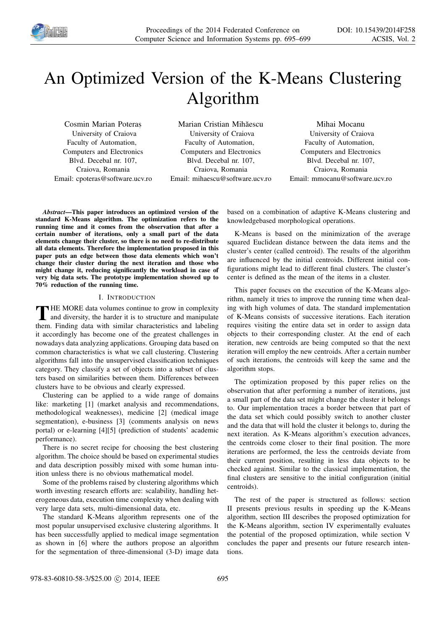

# An Optimized Version of the K-Means Clustering Algorithm

Cosmin Marian Poteras, University of Craiova Faculty of Automation, Computers and Electronics Blvd. Decebal nr. 107, Craiova, Romania Email: cpoteras@software.ucv.ro

Marian Cristian Mihăescu University of Craiova Faculty of Automation, Computers and Electronics Blvd. Decebal nr. 107, Craiova, Romania Email: mihaescu@software.ucv.ro

Mihai Mocanu University of Craiova Faculty of Automation, Computers and Electronics Blvd. Decebal nr. 107, Craiova, Romania Email: mmocanu@software.ucv.ro

*Abstract*—This paper introduces an optimized version of the standard K-Means algorithm. The optimization refers to the running time and it comes from the observation that after a certain number of iterations, only a small part of the data elements change their cluster, so there is no need to re-distribute all data elements. Therefore the implementation proposed in this paper puts an edge between those data elements which won't change their cluster during the next iteration and those who might change it, reducing significantly the workload in case of very big data sets. The prototype implementation showed up to 70% reduction of the running time.

#### I. INTRODUCTION

THE MORE data volumes continue to grow in complexity<br>and diversity, the harder it is to structure and manipulate<br>them. Finding, data with similar abonatoriation and labeling and diversity, the harder it is to structure and manipulate them. Finding data with similar characteristics and labeling it accordingly has become one of the greatest challenges in nowadays data analyzing applications. Grouping data based on common characteristics is what we call clustering. Clustering algorithms fall into the unsupervised classification techniques category. They classify a set of objects into a subset of clusters based on similarities between them. Differences between clusters have to be obvious and clearly expressed.

Clustering can be applied to a wide range of domains like: marketing [1] (market analysis and recommendations, methodological weaknesses), medicine [2] (medical image segmentation), e-business [3] (comments analysis on news portal) or e-learning [4][5] (prediction of students' academic performance).

There is no secret recipe for choosing the best clustering algorithm. The choice should be based on experimental studies and data description possibly mixed with some human intuition unless there is no obvious mathematical model.

Some of the problems raised by clustering algorithms which worth investing research efforts are: scalability, handling heterogeneous data, execution time complexity when dealing with very large data sets, multi-dimensional data, etc.

The standard K-Means algorithm represents one of the most popular unsupervised exclusive clustering algorithms. It has been successfully applied to medical image segmentation as shown in [6] where the authors propose an algorithm for the segmentation of three-dimensional (3-D) image data based on a combination of adaptive K-Means clustering and knowledgebased morphological operations.

K-Means is based on the minimization of the average squared Euclidean distance between the data items and the cluster's center (called centroid). The results of the algorithm are influenced by the initial centroids. Different initial configurations might lead to different final clusters. The cluster's center is defined as the mean of the items in a cluster.

This paper focuses on the execution of the K-Means algorithm, namely it tries to improve the running time when dealing with high volumes of data. The standard implementation of K-Means consists of successive iterations. Each iteration requires visiting the entire data set in order to assign data objects to their corresponding cluster. At the end of each iteration, new centroids are being computed so that the next iteration will employ the new centroids. After a certain number of such iterations, the centroids will keep the same and the algorithm stops.

The optimization proposed by this paper relies on the observation that after performing a number of iterations, just a small part of the data set might change the cluster it belongs to. Our implementation traces a border between that part of the data set which could possibly switch to another cluster and the data that will hold the cluster it belongs to, during the next iteration. As K-Means algorithm's execution advances, the centroids come closer to their final position. The more iterations are performed, the less the centroids deviate from their current position, resulting in less data objects to be checked against. Similar to the classical implementation, the final clusters are sensitive to the initial configuration (initial centroids).

The rest of the paper is structured as follows: section II presents previous results in speeding up the K-Means algorithm, section III describes the proposed optimization for the K-Means algorithm, section IV experimentally evaluates the potential of the proposed optimization, while section V concludes the paper and presents our future research intentions.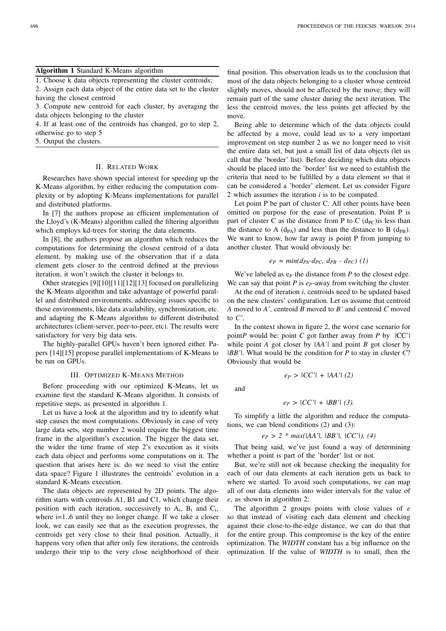#### Algorithm 1 Standard K-Means algorithm

1. Choose k data objects representing the cluster centroids;

2. Assign each data object of the entire data set to the cluster having the closest centroid

3. Compute new centroid for each cluster, by averaging the data objects belonging to the cluster

4. If at least one of the centroids has changed, go to step 2, otherwise go to step 5

5. Output the clusters.

## II. RELATED WORK

Researches have shown special interest for speeding up the K-Means algorithm, by either reducing the computation complexity or by adopting K-Means implementations for parallel and distributed platforms.

In [7] the authors propose an efficient implementation of the Lloyd's (K-Means) algorithm called the filtering algorithm which employs kd-trees for storing the data elements.

In [8], the authors propose an algorithm which reduces the computations for determining the closest centroid of a data element, by making use of the observation that if a data element gets closer to the centroid defined at the previous iteration, it won't switch the cluster it belongs to.

Other strategies [9][10][11][12][13] focused on parallelizing the K-Means algorithm and take advantage of powerful parallel and distributed environments, addressing issues specific to those environments, like data availability, synchronization, etc. and adapting the K-Means algorithm to different distributed architectures (client-server, peer-to-peer, etc). The results were satisfactory for very big data sets.

The highly-parallel GPUs haven't been ignored either. Papers [14][15] propose parallel implementations of K-Means to be run on GPUs.

#### III. OPTIMIZED K-MEANS METHOD

Before proceeding with our optimized K-Means, let us examine first the standard K-Means algorithm. It consists of repetitive steps, as presented in algorithm 1.

Let us have a look at the algorithm and try to identify what step causes the most computations. Obviously in case of very large data sets, step number 2 would require the biggest time frame in the algorithm's execution. The bigger the data set, the wider the time frame of step 2's execution as it visits each data object and performs some computations on it. The question that arises here is: do we need to visit the entire data space? Figure 1 illustrates the centroids' evolution in a standard K-Means execution.

The data objects are represented by 2D points. The algorithm starts with centroids A1, B1 and C1, which change their position with each iteration, successively to  $A_i$ ,  $B_i$  and  $C_i$ , where i=1..6 until they no longer change. If we take a closer look, we can easily see that as the execution progresses, the centroids get very close to their final position. Actually, it happens very often that after only few iterations, the centroids undergo their trip to the very close neighborhood of their

final position. This observation leads us to the conclusion that most of the data objects belonging to a cluster whose centroid slightly moves, should not be affected by the move; they will remain part of the same cluster during the next iteration. The less the centroid moves, the less points get affected by the move.

Being able to determine which of the data objects could be affected by a move, could lead us to a very important improvement on step number 2 as we no longer need to visit the entire data set, but just a small list of data objects (let us call that the 'border' list). Before deciding which data objects should be placed into the 'border' list we need to establish the criteria that need to be fulfilled by a data element so that it can be considered a 'border' element. Let us consider Figure 2 which assumes the iteration *i* is to be computed.

Let point P be part of cluster C. All other points have been omitted on purpose for the ease of presentation. Point P is part of cluster C as the distance from P to C  $(d_{PC})$  is less than the distance to A  $(d_{PA})$  and less than the distance to B  $(d_{PR})$ . We want to know, how far away is point P from jumping to another cluster. That would obviously be:

$$
e_P = min(d_{PA} \cdot d_{PC}, d_{PB} \cdot d_{PC}) \ (1)
$$

We've labeled as e*<sup>P</sup>* the distance from *P* to the closest edge. We can say that point *P* is *eP*-away from switching the cluster.

At the end of iteration *i*, centroids need to be updated based on the new clusters' configuration. Let us assume that centroid *A* moved to *A'*, centroid *B* moved to *B'* and centroid *C* moved to *C'*.

In the context shown in figure 2, the worst case scenario for point*P* would be: point *C* got farther away from *P* by |CC'| while point *A* got closer by *|AA'|* and point *B* got closer by *|BB'|*. What would be the condition for *P* to stay in cluster *C*? Obviously that would be

$$
e_P > |CC'| + |AA'| (2)
$$

and

$$
e_P > |CC'| + |BB'| (3).
$$

To simplify a little the algorithm and reduce the computations, we can blend conditions (2) and (3):

*e<sup>P</sup> > 2 \* max(|AA'|, |BB'|, |CC'|). (4)*

That being said, we've just found a way of determining whether a point is part of the 'border' list or not.

But, we're still not ok because checking the inequality for each of our data elements at each iteration gets us back to where we started. To avoid such computations, we can map all of our data elements into wider intervals for the value of *e*, as shown in algorithm 2:

The algorithm 2 groups points with close values of *e* so that instead of visiting each data element and checking against their close-to-the-edge distance, we can do that that for the entire group. This compromise is the key of the entire optimization. The *WIDTH* constant has a big influence on the optimization. If the value of *WIDTH* is to small, then the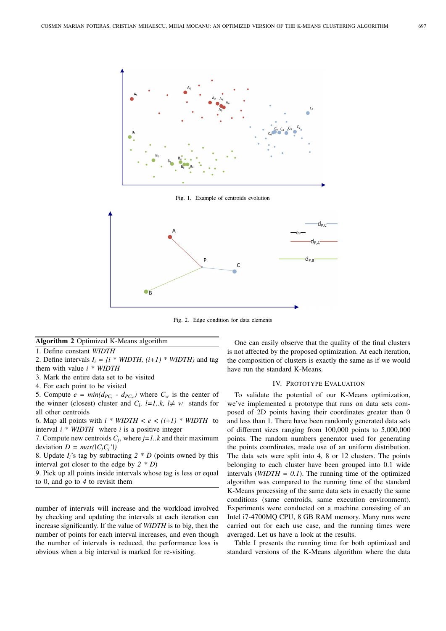

Fig. 1. Example of centroids evolution



Fig. 2. Edge condition for data elements

#### Algorithm 2 Optimized K-Means algorithm

1. Define constant *WIDTH*

2. Define intervals  $I_i = \{i * WIDTH, (i+1) * WIDTH\}$  and tag them with value *i \* WIDTH*

- 3. Mark the entire data set to be visited
- 4. For each point to be visited

5. Compute  $e = min(d_{PC_l} - d_{PC_w})$  where  $C_w$  is the center of the winner (closest) cluster and  $C_l$ ,  $l = 1..k$ ,  $l \neq w$  stands for all other centroids

6. Map all points with  $i * WIDTH < e < (i+1) * WIDTH$  to interval *i \* WIDTH* where *i* is a positive integer

7. Compute new centroids *C<sup>j</sup>* , where *j=1..k* and their maximum deviation  $D = max(|C_i C_i'|)$ 

8. Update  $I_i$ 's tag by subtracting  $2 * D$  (points owned by this interval got closer to the edge by *2 \* D*)

9. Pick up all points inside intervals whose tag is less or equal to 0, and go to *4* to revisit them

number of intervals will increase and the workload involved by checking and updating the intervals at each iteration can increase significantly. If the value of *WIDTH* is to big, then the number of points for each interval increases, and even though the number of intervals is reduced, the performance loss is obvious when a big interval is marked for re-visiting.

One can easily observe that the quality of the final clusters is not affected by the proposed optimization. At each iteration, the composition of clusters is exactly the same as if we would have run the standard K-Means.

# IV. PROTOTYPE EVALUATION

To validate the potential of our K-Means optimization, we've implemented a prototype that runs on data sets composed of 2D points having their coordinates greater than 0 and less than 1. There have been randomly generated data sets of different sizes ranging from 100,000 points to 5,000,000 points. The random numbers generator used for generating the points coordinates, made use of an uniform distribution. The data sets were split into 4, 8 or 12 clusters. The points belonging to each cluster have been grouped into 0.1 wide intervals ( $WIDTH = 0.1$ ). The running time of the optimized algorithm was compared to the running time of the standard K-Means processing of the same data sets in exactly the same conditions (same centroids, same execution environment). Experiments were conducted on a machine consisting of an Intel i7-4700MQ CPU, 8 GB RAM memory. Many runs were carried out for each use case, and the running times were averaged. Let us have a look at the results.

Table I presents the running time for both optimized and standard versions of the K-Means algorithm where the data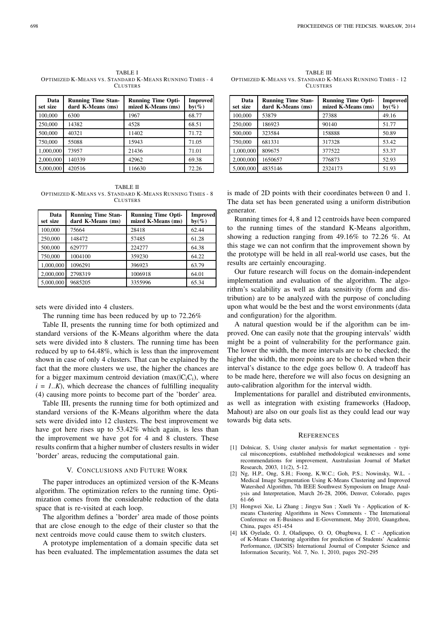TABLE I OPTIMIZED K-MEANS VS. STANDARD K-MEANS RUNNING TIMES - 4 **CLUSTERS** 

| Data<br>set size | <b>Running Time Stan-</b><br>dard K-Means (ms) | <b>Running Time Opti-</b><br>mized K-Means (ms) | <b>Improved</b><br>$by(\%)$ |
|------------------|------------------------------------------------|-------------------------------------------------|-----------------------------|
| 100,000          | 6300                                           | 1967                                            | 68.77                       |
| 250,000          | 14382                                          | 4528                                            | 68.51                       |
| 500,000          | 40321                                          | 11402                                           | 71.72                       |
| 750,000          | 55088                                          | 15943                                           | 71.05                       |
| 1,000,000        | 73957                                          | 21436                                           | 71.01                       |
| 2,000,000        | 140339                                         | 42962                                           | 69.38                       |
| 5,000,000        | 420516                                         | 116630                                          | 72.26                       |

TABLE II OPTIMIZED K-MEANS VS. STANDARD K-MEANS RUNNING TIMES - 8 **CLUSTERS** 

| Data<br>set size | <b>Running Time Stan-</b><br>dard K-Means (ms) | <b>Running Time Opti-</b><br>mized K-Means (ms) | <b>Improved</b><br>$by(\%)$ |
|------------------|------------------------------------------------|-------------------------------------------------|-----------------------------|
| 100,000          | 75664                                          | 28418                                           | 62.44                       |
| 250,000          | 148472                                         | 57485                                           | 61.28                       |
| 500,000          | 629777                                         | 224277                                          | 64.38                       |
| 750,000          | 1004100                                        | 359230                                          | 64.22                       |
| 1,000,000        | 1096291                                        | 396923                                          | 63.79                       |
| 2,000,000        | 2798319                                        | 1006918                                         | 64.01                       |
| 5,000,000        | 9685205                                        | 3355996                                         | 65.34                       |

sets were divided into 4 clusters.

The running time has been reduced by up to 72.26%

Table II, presents the running time for both optimized and standard versions of the K-Means algorithm where the data sets were divided into 8 clusters. The running time has been reduced by up to 64.48%, which is less than the improvement shown in case of only 4 clusters. That can be explained by the fact that the more clusters we use, the higher the chances are for a bigger maximum centroid deviation (max $(IC_iC_i)$ , where  $i = 1..K$ , which decrease the chances of fulfilling inequality (4) causing more points to become part of the 'border' area.

Table III, presents the running time for both optimized and standard versions of the K-Means algorithm where the data sets were divided into 12 clusters. The best improvement we have got here rises up to 53.42% which again, is less than the improvement we have got for 4 and 8 clusters. These results confirm that a higher number of clusters results in wider 'border' areas, reducing the computational gain.

### V. CONCLUSIONS AND FUTURE WORK

The paper introduces an optimized version of the K-Means algorithm. The optimization refers to the running time. Optimization comes from the considerable reduction of the data space that is re-visited at each loop.

The algorithm defines a 'border' area made of those points that are close enough to the edge of their cluster so that the next centroids move could cause them to switch clusters.

A prototype implementation of a domain specific data set has been evaluated. The implementation assumes the data set

TABLE III OPTIMIZED K-MEANS VS. STANDARD K-MEANS RUNNING TIMES - 12 **CLUSTERS** 

| Data<br>set size | <b>Running Time Stan-</b><br>dard K-Means (ms) | <b>Running Time Opti-</b><br>mized K-Means (ms) | <b>Improved</b><br>$by(\%)$ |
|------------------|------------------------------------------------|-------------------------------------------------|-----------------------------|
| 100,000          | 53879                                          | 27388                                           | 49.16                       |
| 250,000          | 186923                                         | 90140                                           | 51.77                       |
| 500,000          | 323584                                         | 158888                                          | 50.89                       |
| 750,000          | 681331                                         | 317328                                          | 53.42                       |
| 1,000,000        | 809675                                         | 377522                                          | 53.37                       |
| 2,000,000        | 1650657                                        | 776873                                          | 52.93                       |
| 5,000,000        | 4835146                                        | 2324173                                         | 51.93                       |

is made of 2D points with their coordinates between 0 and 1. The data set has been generated using a uniform distribution generator.

Running times for 4, 8 and 12 centroids have been compared to the running times of the standard K-Means algorithm, showing a reduction ranging from 49.16% to 72.26 %. At this stage we can not confirm that the improvement shown by the prototype will be held in all real-world use cases, but the results are certainly encouraging.

Our future research will focus on the domain-independent implementation and evaluation of the algorithm. The algorithm's scalability as well as data sensitivity (form and distribution) are to be analyzed with the purpose of concluding upon what would be the best and the worst environments (data and configuration) for the algorithm.

A natural question would be if the algorithm can be improved. One can easily note that the grouping intervals' width might be a point of vulnerability for the performance gain. The lower the width, the more intervals are to be checked; the higher the width, the more points are to be checked when their interval's distance to the edge goes bellow 0. A tradeoff has to be made here, therefore we will also focus on designing an auto-calibration algorithm for the interval width.

Implementations for parallel and distributed environments, as well as integration with existing frameworks (Hadoop, Mahout) are also on our goals list as they could lead our way towards big data sets.

#### **REFERENCES**

- [1] Dolnicar, S, Using cluster analysis for market segmentation typical misconceptions, established methodological weaknesses and some recommendations for improvement, Australasian Journal of Market Research, 2003, 11(2), 5-12.
- [2] Ng, H.P., Ong, S.H.; Foong, K.W.C.; Goh, P.S.; Nowinsky, W.L. Medical Image Segmentation Using K-Means Clustering and Improved Watershed Algorithm, 7th IEEE Southwest Symposium on Image Analysis and Interpretation, March 26-28, 2006, Denver, Colorado, pages 61-66
- [3] Hongwei Xie, Li Zhang ; Jingyu Sun ; Xueli Yu Application of Kmeans Clustering Algorithms in News Comments - The International Conference on E-Business and E-Government, May 2010, Guangzhou, China, pages 451-454
- [4] kK Oyelade, O. J, Oladipupo, O. O, Obagbuwa, I. C Application of K-Means Clustering algorithm for prediction of Students' Academic Performance, (IJCSIS) International Journal of Computer Science and Information Security, Vol. 7, No. 1, 2010, pages 292–295